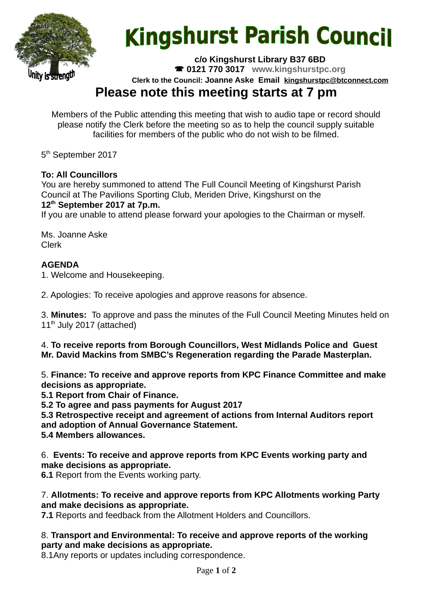

# **Kingshurst Parish Council**

**c/o Kingshurst Library B37 6BD**

**0121 770 3017 www.kingshurstpc.org**

**Clerk to the Council: Joanne Aske Email [kingshurstpc@btconnect.com](mailto:kingshurstpc@btconnect.com)**

# **Please note this meeting starts at 7 pm**

Members of the Public attending this meeting that wish to audio tape or record should please notify the Clerk before the meeting so as to help the council supply suitable facilities for members of the public who do not wish to be filmed.

5<sup>th</sup> September 2017

#### **To: All Councillors**

You are hereby summoned to attend The Full Council Meeting of Kingshurst Parish Council at The Pavilions Sporting Club, Meriden Drive, Kingshurst on the **12th September 2017 at 7p.m.**

If you are unable to attend please forward your apologies to the Chairman or myself.

Ms. Joanne Aske Clerk

#### **AGENDA**

1. Welcome and Housekeeping.

2. Apologies: To receive apologies and approve reasons for absence.

3. **Minutes:** To approve and pass the minutes of the Full Council Meeting Minutes held on  $11<sup>th</sup>$  July 2017 (attached)

4. **To receive reports from Borough Councillors, West Midlands Police and Guest Mr. David Mackins from SMBC's Regeneration regarding the Parade Masterplan.**

5. **Finance: To receive and approve reports from KPC Finance Committee and make decisions as appropriate.**

**5.1 Report from Chair of Finance.**

**5.2 To agree and pass payments for August 2017**

**5.3 Retrospective receipt and agreement of actions from Internal Auditors report and adoption of Annual Governance Statement.**

**5.4 Members allowances.**

6. **Events: To receive and approve reports from KPC Events working party and make decisions as appropriate.**

**6.1** Report from the Events working party.

#### 7. **Allotments: To receive and approve reports from KPC Allotments working Party and make decisions as appropriate.**

**7.1** Reports and feedback from the Allotment Holders and Councillors.

#### 8. **Transport and Environmental: To receive and approve reports of the working party and make decisions as appropriate.**

8.1Any reports or updates including correspondence.